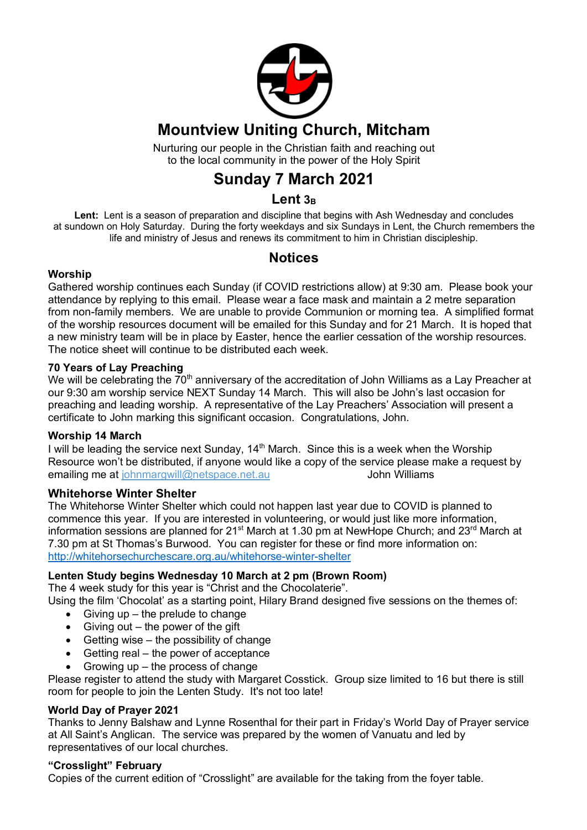

## **Mountview Uniting Church, Mitcham**

Nurturing our people in the Christian faith and reaching out to the local community in the power of the Holy Spirit

## **Sunday 7 March 2021**

## Lent<sub>3B</sub>

**Lent:** Lent is a season of preparation and discipline that begins with Ash Wednesday and concludes at sundown on Holy Saturday. During the forty weekdays and six Sundays in Lent, the Church remembers the life and ministry of Jesus and renews its commitment to him in Christian discipleship.

## **Notices**

#### **Worship**

Gathered worship continues each Sunday (if COVID restrictions allow) at 9:30 am. Please book your attendance by replying to this email. Please wear a face mask and maintain a 2 metre separation from non-family members. We are unable to provide Communion or morning tea. A simplified format of the worship resources document will be emailed for this Sunday and for 21 March. It is hoped that a new ministry team will be in place by Easter, hence the earlier cessation of the worship resources. The notice sheet will continue to be distributed each week.

#### **70 Years of Lay Preaching**

We will be celebrating the  $70<sup>th</sup>$  anniversary of the accreditation of John Williams as a Lay Preacher at our 9:30 am worship service NEXT Sunday 14 March. This will also be John's last occasion for preaching and leading worship. A representative of the Lay Preachers' Association will present a certificate to John marking this significant occasion. Congratulations, John.

#### **Worship 14 March**

I will be leading the service next Sunday, 14<sup>th</sup> March. Since this is a week when the Worship Resource won't be distributed, if anyone would like a copy of the service please make a request by emailing me at johnmargwill@netspace.net.au John Williams

#### **Whitehorse Winter Shelter**

The Whitehorse Winter Shelter which could not happen last year due to COVID is planned to commence this year. If you are interested in volunteering, or would just like more information, information sessions are planned for  $21^{st}$  March at 1.30 pm at NewHope Church; and  $23^{rd}$  March at 7.30 pm at St Thomas's Burwood. You can register for these or find more information on: http://whitehorsechurchescare.org.au/whitehorse-winter-shelter

#### **Lenten Study begins Wednesday 10 March at 2 pm (Brown Room)**

The 4 week study for this year is "Christ and the Chocolaterie".

Using the film 'Chocolat' as a starting point, Hilary Brand designed five sessions on the themes of:

- $\bullet$  Giving up the prelude to change
- $\bullet$  Giving out the power of the gift
- $\bullet$  Getting wise the possibility of change
- Getting real the power of acceptance
- Growing up the process of change

Please register to attend the study with Margaret Cosstick. Group size limited to 16 but there is still room for people to join the Lenten Study. It's not too late!

#### **World Day of Prayer 2021**

Thanks to Jenny Balshaw and Lynne Rosenthal for their part in Friday's World Day of Prayer service at All Saint's Anglican. The service was prepared by the women of Vanuatu and led by representatives of our local churches.

#### **"Crosslight" February**

Copies of the current edition of "Crosslight" are available for the taking from the foyer table.